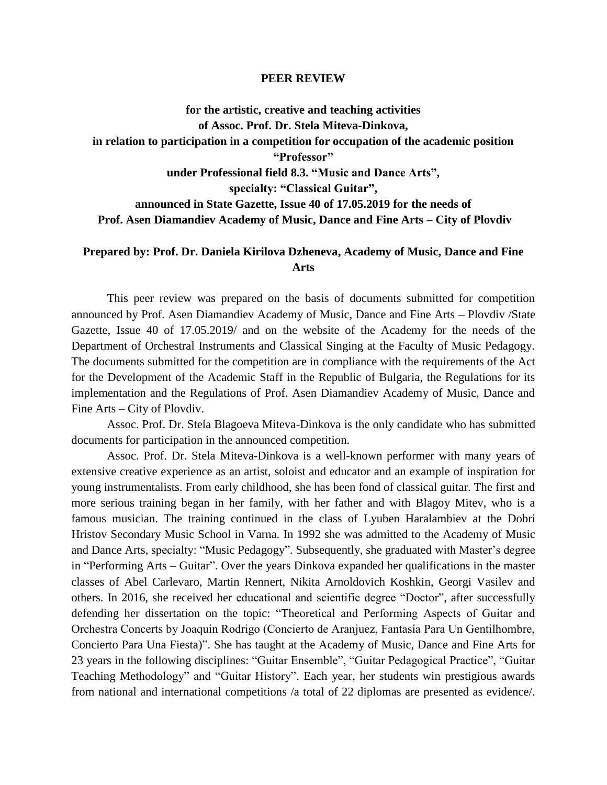## **PEER REVIEW**

**for the artistic, creative and teaching activities of Assoc. Prof. Dr. Stela Miteva-Dinkova, in relation to participation in a competition for occupation of the academic position "Professor" under Professional field 8.3. "Music and Dance Arts", specialty: "Classical Guitar", announced in State Gazette, Issue 40 of 17.05.2019 for the needs of Prof. Asen Diamandiev Academy of Music, Dance and Fine Arts – City of Plovdiv**

## **Prepared by: Prof. Dr. Daniela Kirilova Dzheneva, Academy of Music, Dance and Fine Arts**

This peer review was prepared on the basis of documents submitted for competition announced by Prof. Asen Diamandiev Academy of Music, Dance and Fine Arts – Plovdiv /State Gazette, Issue 40 of 17.05.2019/ and on the website of the Academy for the needs of the Department of Orchestral Instruments and Classical Singing at the Faculty of Music Pedagogy. The documents submitted for the competition are in compliance with the requirements of the Act for the Development of the Academic Staff in the Republic of Bulgaria, the Regulations for its implementation and the Regulations of Prof. Asen Diamandiev Academy of Music, Dance and Fine Arts – City of Plovdiv.

Assoc. Prof. Dr. Stela Blagoeva Miteva-Dinkova is the only candidate who has submitted documents for participation in the announced competition.

Assoc. Prof. Dr. Stela Miteva-Dinkova is a well-known performer with many years of extensive creative experience as an artist, soloist and educator and an example of inspiration for young instrumentalists. From early childhood, she has been fond of classical guitar. The first and more serious training began in her family, with her father and with Blagoy Mitev, who is a famous musician. The training continued in the class of Lyuben Haralambiev at the Dobri Hristov Secondary Music School in Varna. In 1992 she was admitted to the Academy of Music and Dance Arts, specialty: "Music Pedagogy". Subsequently, she graduated with Master's degree in "Performing Arts – Guitar". Over the years Dinkova expanded her qualifications in the master classes of Abel Carlevaro, Martin Rennert, Nikita Arnoldovich Koshkin, Georgi Vasilev and others. In 2016, she received her educational and scientific degree "Doctor", after successfully defending her dissertation on the topic: "Theoretical and Performing Aspects of Guitar and Orchestra Concerts by Joaquin Rodrigo (Concierto de Aranjuez, Fantasía Para Un Gentilhombre, Concierto Para Una Fiesta)". She has taught at the Academy of Music, Dance and Fine Arts for 23 years in the following disciplines: "Guitar Ensemble", "Guitar Pedagogical Practice", "Guitar Teaching Methodology" and "Guitar History". Each year, her students win prestigious awards from national and international competitions /a total of 22 diplomas are presented as evidence/.